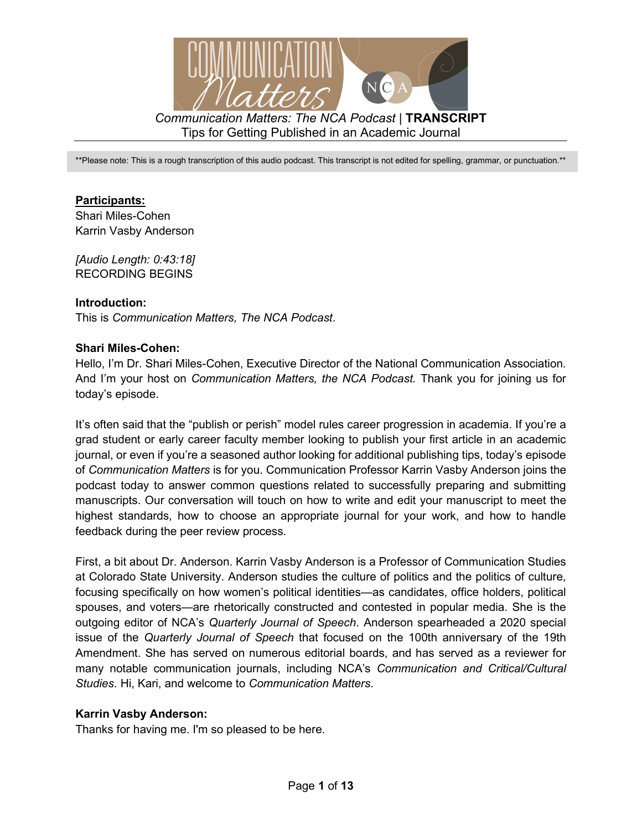

\*\*Please note: This is a rough transcription of this audio podcast. This transcript is not edited for spelling, grammar, or punctuation.\*\*

### **Participants:**

Shari Miles-Cohen Karrin Vasby Anderson

*[Audio Length: 0:43:18]*  RECORDING BEGINS

#### **Introduction:**

This is *Communication Matters, The NCA Podcast*.

#### **Shari Miles-Cohen:**

Hello, I'm Dr. Shari Miles-Cohen, Executive Director of the National Communication Association. And I'm your host on *Communication Matters, the NCA Podcast.* Thank you for joining us for today's episode.

It's often said that the "publish or perish" model rules career progression in academia. If you're a grad student or early career faculty member looking to publish your first article in an academic journal, or even if you're a seasoned author looking for additional publishing tips, today's episode of *Communication Matters* is for you. Communication Professor Karrin Vasby Anderson joins the podcast today to answer common questions related to successfully preparing and submitting manuscripts. Our conversation will touch on how to write and edit your manuscript to meet the highest standards, how to choose an appropriate journal for your work, and how to handle feedback during the peer review process.

First, a bit about Dr. Anderson. Karrin Vasby Anderson is a Professor of Communication Studies at Colorado State University. Anderson studies the culture of politics and the politics of culture, focusing specifically on how women's political identities—as candidates, office holders, political spouses, and voters—are rhetorically constructed and contested in popular media. She is the outgoing editor of NCA's *Quarterly Journal of Speech*. Anderson spearheaded a 2020 special issue of the *Quarterly Journal of Speech* that focused on the 100th anniversary of the 19th Amendment. She has served on numerous editorial boards, and has served as a reviewer for many notable communication journals, including NCA's *Communication and Critical/Cultural Studies*. Hi, Kari, and welcome to *Communication Matters*.

#### **Karrin Vasby Anderson:**

Thanks for having me. I'm so pleased to be here.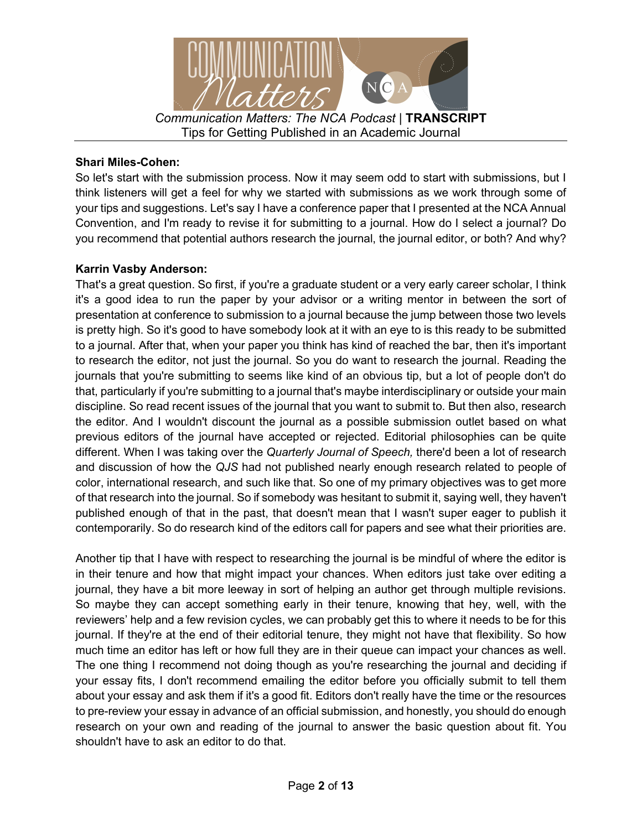

## **Shari Miles-Cohen:**

So let's start with the submission process. Now it may seem odd to start with submissions, but I think listeners will get a feel for why we started with submissions as we work through some of your tips and suggestions. Let's say I have a conference paper that I presented at the NCA Annual Convention, and I'm ready to revise it for submitting to a journal. How do I select a journal? Do you recommend that potential authors research the journal, the journal editor, or both? And why?

# **Karrin Vasby Anderson:**

That's a great question. So first, if you're a graduate student or a very early career scholar, I think it's a good idea to run the paper by your advisor or a writing mentor in between the sort of presentation at conference to submission to a journal because the jump between those two levels is pretty high. So it's good to have somebody look at it with an eye to is this ready to be submitted to a journal. After that, when your paper you think has kind of reached the bar, then it's important to research the editor, not just the journal. So you do want to research the journal. Reading the journals that you're submitting to seems like kind of an obvious tip, but a lot of people don't do that, particularly if you're submitting to a journal that's maybe interdisciplinary or outside your main discipline. So read recent issues of the journal that you want to submit to. But then also, research the editor. And I wouldn't discount the journal as a possible submission outlet based on what previous editors of the journal have accepted or rejected. Editorial philosophies can be quite different. When I was taking over the *Quarterly Journal of Speech,* there'd been a lot of research and discussion of how the *QJS* had not published nearly enough research related to people of color, international research, and such like that. So one of my primary objectives was to get more of that research into the journal. So if somebody was hesitant to submit it, saying well, they haven't published enough of that in the past, that doesn't mean that I wasn't super eager to publish it contemporarily. So do research kind of the editors call for papers and see what their priorities are.

Another tip that I have with respect to researching the journal is be mindful of where the editor is in their tenure and how that might impact your chances. When editors just take over editing a journal, they have a bit more leeway in sort of helping an author get through multiple revisions. So maybe they can accept something early in their tenure, knowing that hey, well, with the reviewers' help and a few revision cycles, we can probably get this to where it needs to be for this journal. If they're at the end of their editorial tenure, they might not have that flexibility. So how much time an editor has left or how full they are in their queue can impact your chances as well. The one thing I recommend not doing though as you're researching the journal and deciding if your essay fits, I don't recommend emailing the editor before you officially submit to tell them about your essay and ask them if it's a good fit. Editors don't really have the time or the resources to pre-review your essay in advance of an official submission, and honestly, you should do enough research on your own and reading of the journal to answer the basic question about fit. You shouldn't have to ask an editor to do that.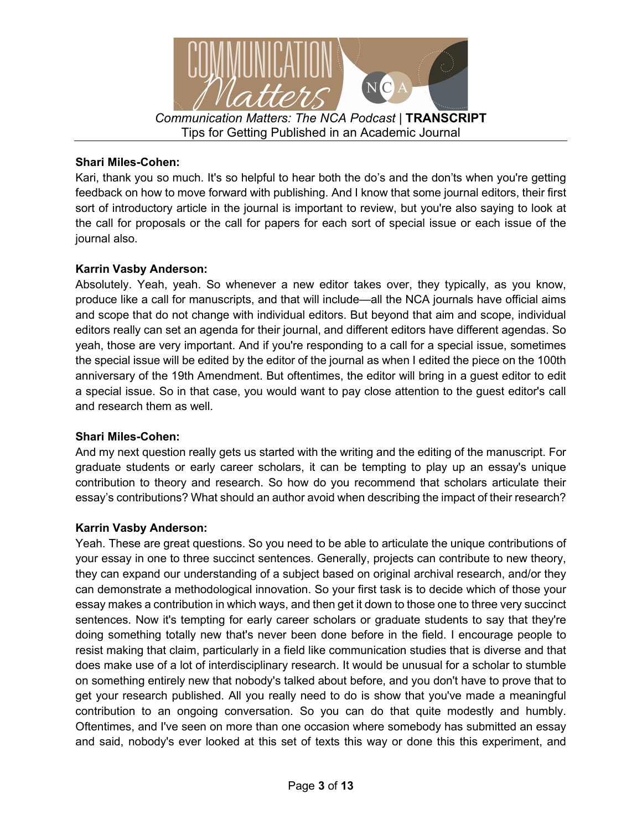

### **Shari Miles-Cohen:**

Kari, thank you so much. It's so helpful to hear both the do's and the don'ts when you're getting feedback on how to move forward with publishing. And I know that some journal editors, their first sort of introductory article in the journal is important to review, but you're also saying to look at the call for proposals or the call for papers for each sort of special issue or each issue of the journal also.

### **Karrin Vasby Anderson:**

Absolutely. Yeah, yeah. So whenever a new editor takes over, they typically, as you know, produce like a call for manuscripts, and that will include—all the NCA journals have official aims and scope that do not change with individual editors. But beyond that aim and scope, individual editors really can set an agenda for their journal, and different editors have different agendas. So yeah, those are very important. And if you're responding to a call for a special issue, sometimes the special issue will be edited by the editor of the journal as when I edited the piece on the 100th anniversary of the 19th Amendment. But oftentimes, the editor will bring in a guest editor to edit a special issue. So in that case, you would want to pay close attention to the guest editor's call and research them as well.

#### **Shari Miles-Cohen:**

And my next question really gets us started with the writing and the editing of the manuscript. For graduate students or early career scholars, it can be tempting to play up an essay's unique contribution to theory and research. So how do you recommend that scholars articulate their essay's contributions? What should an author avoid when describing the impact of their research?

### **Karrin Vasby Anderson:**

Yeah. These are great questions. So you need to be able to articulate the unique contributions of your essay in one to three succinct sentences. Generally, projects can contribute to new theory, they can expand our understanding of a subject based on original archival research, and/or they can demonstrate a methodological innovation. So your first task is to decide which of those your essay makes a contribution in which ways, and then get it down to those one to three very succinct sentences. Now it's tempting for early career scholars or graduate students to say that they're doing something totally new that's never been done before in the field. I encourage people to resist making that claim, particularly in a field like communication studies that is diverse and that does make use of a lot of interdisciplinary research. It would be unusual for a scholar to stumble on something entirely new that nobody's talked about before, and you don't have to prove that to get your research published. All you really need to do is show that you've made a meaningful contribution to an ongoing conversation. So you can do that quite modestly and humbly. Oftentimes, and I've seen on more than one occasion where somebody has submitted an essay and said, nobody's ever looked at this set of texts this way or done this this experiment, and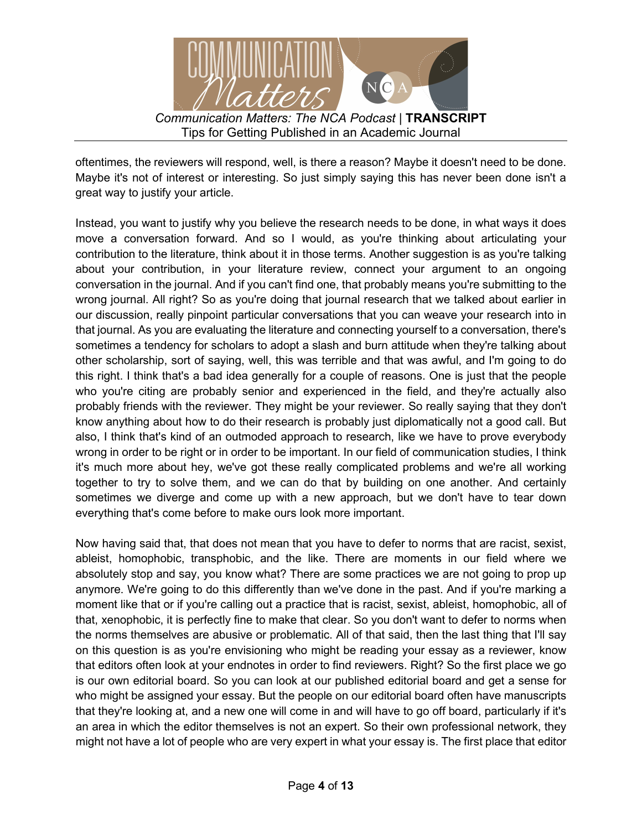

oftentimes, the reviewers will respond, well, is there a reason? Maybe it doesn't need to be done. Maybe it's not of interest or interesting. So just simply saying this has never been done isn't a great way to justify your article.

Instead, you want to justify why you believe the research needs to be done, in what ways it does move a conversation forward. And so I would, as you're thinking about articulating your contribution to the literature, think about it in those terms. Another suggestion is as you're talking about your contribution, in your literature review, connect your argument to an ongoing conversation in the journal. And if you can't find one, that probably means you're submitting to the wrong journal. All right? So as you're doing that journal research that we talked about earlier in our discussion, really pinpoint particular conversations that you can weave your research into in that journal. As you are evaluating the literature and connecting yourself to a conversation, there's sometimes a tendency for scholars to adopt a slash and burn attitude when they're talking about other scholarship, sort of saying, well, this was terrible and that was awful, and I'm going to do this right. I think that's a bad idea generally for a couple of reasons. One is just that the people who you're citing are probably senior and experienced in the field, and they're actually also probably friends with the reviewer. They might be your reviewer. So really saying that they don't know anything about how to do their research is probably just diplomatically not a good call. But also, I think that's kind of an outmoded approach to research, like we have to prove everybody wrong in order to be right or in order to be important. In our field of communication studies, I think it's much more about hey, we've got these really complicated problems and we're all working together to try to solve them, and we can do that by building on one another. And certainly sometimes we diverge and come up with a new approach, but we don't have to tear down everything that's come before to make ours look more important.

Now having said that, that does not mean that you have to defer to norms that are racist, sexist, ableist, homophobic, transphobic, and the like. There are moments in our field where we absolutely stop and say, you know what? There are some practices we are not going to prop up anymore. We're going to do this differently than we've done in the past. And if you're marking a moment like that or if you're calling out a practice that is racist, sexist, ableist, homophobic, all of that, xenophobic, it is perfectly fine to make that clear. So you don't want to defer to norms when the norms themselves are abusive or problematic. All of that said, then the last thing that I'll say on this question is as you're envisioning who might be reading your essay as a reviewer, know that editors often look at your endnotes in order to find reviewers. Right? So the first place we go is our own editorial board. So you can look at our published editorial board and get a sense for who might be assigned your essay. But the people on our editorial board often have manuscripts that they're looking at, and a new one will come in and will have to go off board, particularly if it's an area in which the editor themselves is not an expert. So their own professional network, they might not have a lot of people who are very expert in what your essay is. The first place that editor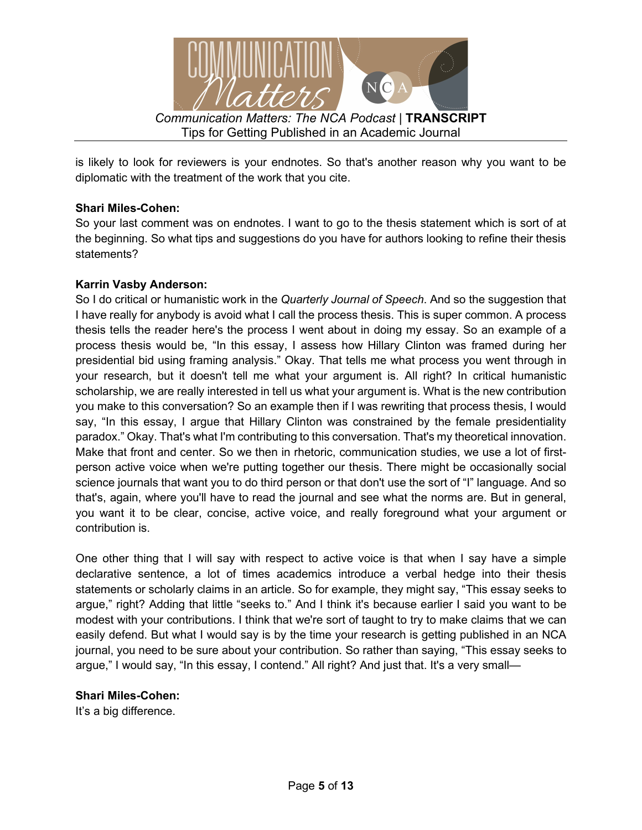

is likely to look for reviewers is your endnotes. So that's another reason why you want to be diplomatic with the treatment of the work that you cite.

# **Shari Miles-Cohen:**

So your last comment was on endnotes. I want to go to the thesis statement which is sort of at the beginning. So what tips and suggestions do you have for authors looking to refine their thesis statements?

### **Karrin Vasby Anderson:**

So I do critical or humanistic work in the *Quarterly Journal of Speech*. And so the suggestion that I have really for anybody is avoid what I call the process thesis. This is super common. A process thesis tells the reader here's the process I went about in doing my essay. So an example of a process thesis would be, "In this essay, I assess how Hillary Clinton was framed during her presidential bid using framing analysis." Okay. That tells me what process you went through in your research, but it doesn't tell me what your argument is. All right? In critical humanistic scholarship, we are really interested in tell us what your argument is. What is the new contribution you make to this conversation? So an example then if I was rewriting that process thesis, I would say, "In this essay, I argue that Hillary Clinton was constrained by the female presidentiality paradox." Okay. That's what I'm contributing to this conversation. That's my theoretical innovation. Make that front and center. So we then in rhetoric, communication studies, we use a lot of firstperson active voice when we're putting together our thesis. There might be occasionally social science journals that want you to do third person or that don't use the sort of "I" language. And so that's, again, where you'll have to read the journal and see what the norms are. But in general, you want it to be clear, concise, active voice, and really foreground what your argument or contribution is.

One other thing that I will say with respect to active voice is that when I say have a simple declarative sentence, a lot of times academics introduce a verbal hedge into their thesis statements or scholarly claims in an article. So for example, they might say, "This essay seeks to argue," right? Adding that little "seeks to." And I think it's because earlier I said you want to be modest with your contributions. I think that we're sort of taught to try to make claims that we can easily defend. But what I would say is by the time your research is getting published in an NCA journal, you need to be sure about your contribution. So rather than saying, "This essay seeks to argue," I would say, "In this essay, I contend." All right? And just that. It's a very small—

### **Shari Miles-Cohen:**

It's a big difference.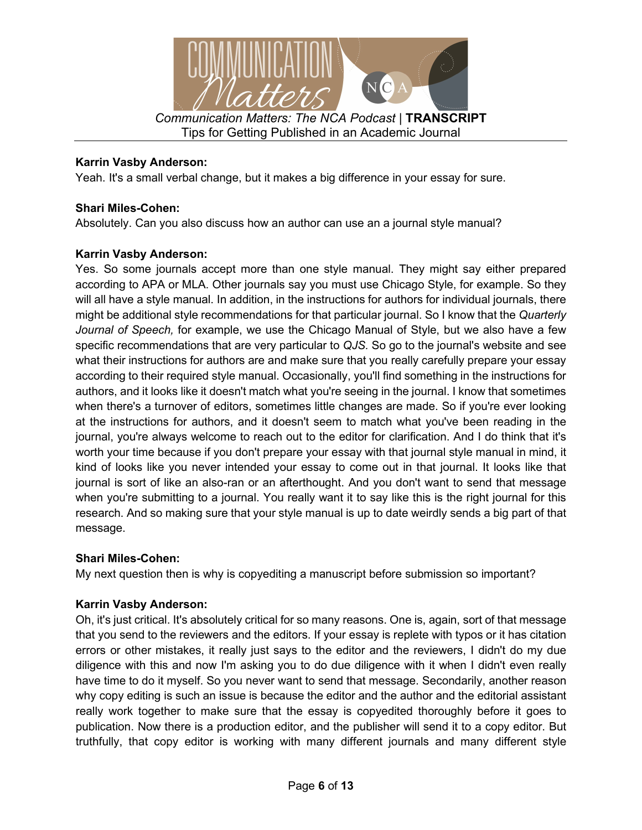

## **Karrin Vasby Anderson:**

Yeah. It's a small verbal change, but it makes a big difference in your essay for sure.

# **Shari Miles-Cohen:**

Absolutely. Can you also discuss how an author can use an a journal style manual?

# **Karrin Vasby Anderson:**

Yes. So some journals accept more than one style manual. They might say either prepared according to APA or MLA. Other journals say you must use Chicago Style, for example. So they will all have a style manual. In addition, in the instructions for authors for individual journals, there might be additional style recommendations for that particular journal. So I know that the *Quarterly Journal of Speech,* for example, we use the Chicago Manual of Style, but we also have a few specific recommendations that are very particular to *QJS.* So go to the journal's website and see what their instructions for authors are and make sure that you really carefully prepare your essay according to their required style manual. Occasionally, you'll find something in the instructions for authors, and it looks like it doesn't match what you're seeing in the journal. I know that sometimes when there's a turnover of editors, sometimes little changes are made. So if you're ever looking at the instructions for authors, and it doesn't seem to match what you've been reading in the journal, you're always welcome to reach out to the editor for clarification. And I do think that it's worth your time because if you don't prepare your essay with that journal style manual in mind, it kind of looks like you never intended your essay to come out in that journal. It looks like that journal is sort of like an also-ran or an afterthought. And you don't want to send that message when you're submitting to a journal. You really want it to say like this is the right journal for this research. And so making sure that your style manual is up to date weirdly sends a big part of that message.

### **Shari Miles-Cohen:**

My next question then is why is copyediting a manuscript before submission so important?

# **Karrin Vasby Anderson:**

Oh, it's just critical. It's absolutely critical for so many reasons. One is, again, sort of that message that you send to the reviewers and the editors. If your essay is replete with typos or it has citation errors or other mistakes, it really just says to the editor and the reviewers, I didn't do my due diligence with this and now I'm asking you to do due diligence with it when I didn't even really have time to do it myself. So you never want to send that message. Secondarily, another reason why copy editing is such an issue is because the editor and the author and the editorial assistant really work together to make sure that the essay is copyedited thoroughly before it goes to publication. Now there is a production editor, and the publisher will send it to a copy editor. But truthfully, that copy editor is working with many different journals and many different style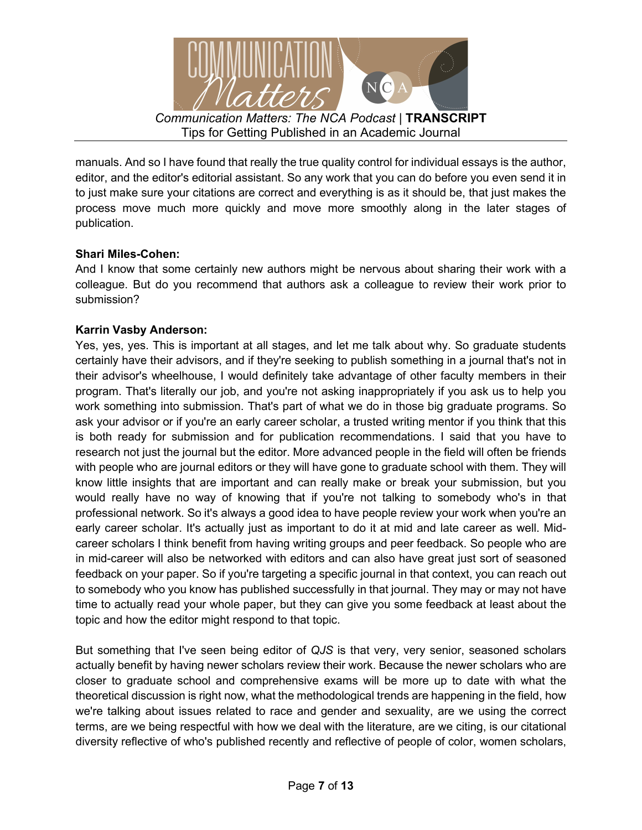

manuals. And so I have found that really the true quality control for individual essays is the author, editor, and the editor's editorial assistant. So any work that you can do before you even send it in to just make sure your citations are correct and everything is as it should be, that just makes the process move much more quickly and move more smoothly along in the later stages of publication.

# **Shari Miles-Cohen:**

And I know that some certainly new authors might be nervous about sharing their work with a colleague. But do you recommend that authors ask a colleague to review their work prior to submission?

### **Karrin Vasby Anderson:**

Yes, yes, yes. This is important at all stages, and let me talk about why. So graduate students certainly have their advisors, and if they're seeking to publish something in a journal that's not in their advisor's wheelhouse, I would definitely take advantage of other faculty members in their program. That's literally our job, and you're not asking inappropriately if you ask us to help you work something into submission. That's part of what we do in those big graduate programs. So ask your advisor or if you're an early career scholar, a trusted writing mentor if you think that this is both ready for submission and for publication recommendations. I said that you have to research not just the journal but the editor. More advanced people in the field will often be friends with people who are journal editors or they will have gone to graduate school with them. They will know little insights that are important and can really make or break your submission, but you would really have no way of knowing that if you're not talking to somebody who's in that professional network. So it's always a good idea to have people review your work when you're an early career scholar. It's actually just as important to do it at mid and late career as well. Midcareer scholars I think benefit from having writing groups and peer feedback. So people who are in mid-career will also be networked with editors and can also have great just sort of seasoned feedback on your paper. So if you're targeting a specific journal in that context, you can reach out to somebody who you know has published successfully in that journal. They may or may not have time to actually read your whole paper, but they can give you some feedback at least about the topic and how the editor might respond to that topic.

But something that I've seen being editor of *QJS* is that very, very senior, seasoned scholars actually benefit by having newer scholars review their work. Because the newer scholars who are closer to graduate school and comprehensive exams will be more up to date with what the theoretical discussion is right now, what the methodological trends are happening in the field, how we're talking about issues related to race and gender and sexuality, are we using the correct terms, are we being respectful with how we deal with the literature, are we citing, is our citational diversity reflective of who's published recently and reflective of people of color, women scholars,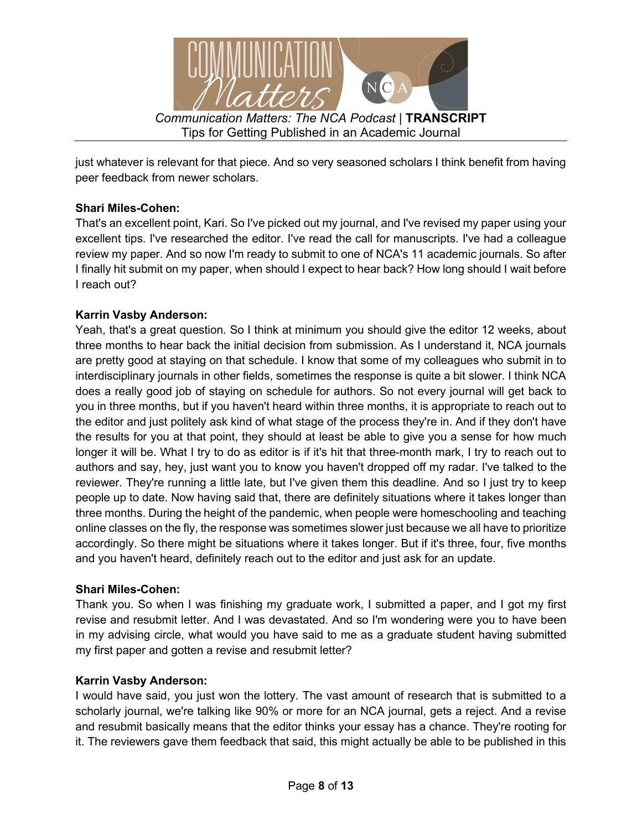

just whatever is relevant for that piece. And so very seasoned scholars I think benefit from having peer feedback from newer scholars.

# **Shari Miles-Cohen:**

That's an excellent point, Kari. So I've picked out my journal, and I've revised my paper using your excellent tips. I've researched the editor. I've read the call for manuscripts. I've had a colleague review my paper. And so now I'm ready to submit to one of NCA's 11 academic journals. So after I finally hit submit on my paper, when should I expect to hear back? How long should I wait before I reach out?

# **Karrin Vasby Anderson:**

Yeah, that's a great question. So I think at minimum you should give the editor 12 weeks, about three months to hear back the initial decision from submission. As I understand it, NCA journals are pretty good at staying on that schedule. I know that some of my colleagues who submit in to interdisciplinary journals in other fields, sometimes the response is quite a bit slower. I think NCA does a really good job of staying on schedule for authors. So not every journal will get back to you in three months, but if you haven't heard within three months, it is appropriate to reach out to the editor and just politely ask kind of what stage of the process they're in. And if they don't have the results for you at that point, they should at least be able to give you a sense for how much longer it will be. What I try to do as editor is if it's hit that three-month mark, I try to reach out to authors and say, hey, just want you to know you haven't dropped off my radar. I've talked to the reviewer. They're running a little late, but I've given them this deadline. And so I just try to keep people up to date. Now having said that, there are definitely situations where it takes longer than three months. During the height of the pandemic, when people were homeschooling and teaching online classes on the fly, the response was sometimes slower just because we all have to prioritize accordingly. So there might be situations where it takes longer. But if it's three, four, five months and you haven't heard, definitely reach out to the editor and just ask for an update.

### **Shari Miles-Cohen:**

Thank you. So when I was finishing my graduate work, I submitted a paper, and I got my first revise and resubmit letter. And I was devastated. And so I'm wondering were you to have been in my advising circle, what would you have said to me as a graduate student having submitted my first paper and gotten a revise and resubmit letter?

### **Karrin Vasby Anderson:**

I would have said, you just won the lottery. The vast amount of research that is submitted to a scholarly journal, we're talking like 90% or more for an NCA journal, gets a reject. And a revise and resubmit basically means that the editor thinks your essay has a chance. They're rooting for it. The reviewers gave them feedback that said, this might actually be able to be published in this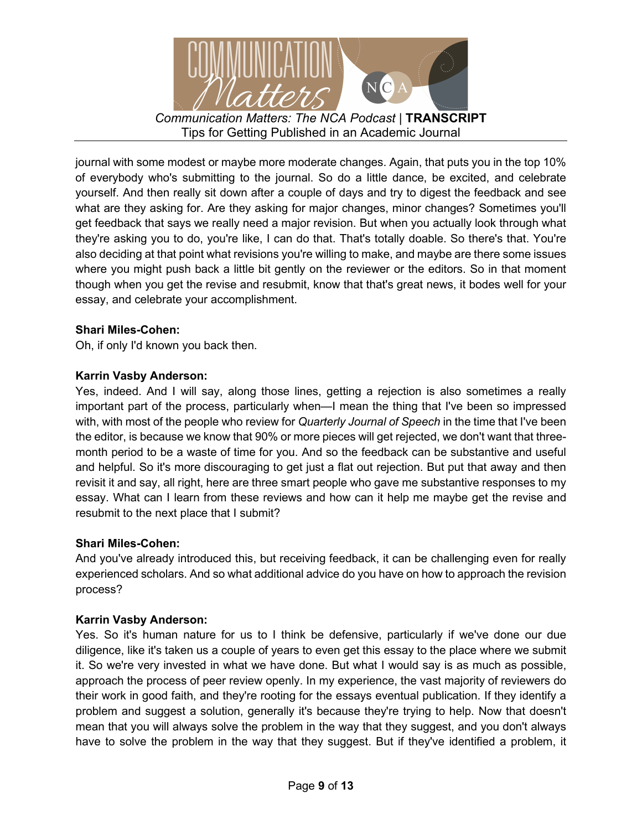

journal with some modest or maybe more moderate changes. Again, that puts you in the top 10% of everybody who's submitting to the journal. So do a little dance, be excited, and celebrate yourself. And then really sit down after a couple of days and try to digest the feedback and see what are they asking for. Are they asking for major changes, minor changes? Sometimes you'll get feedback that says we really need a major revision. But when you actually look through what they're asking you to do, you're like, I can do that. That's totally doable. So there's that. You're also deciding at that point what revisions you're willing to make, and maybe are there some issues where you might push back a little bit gently on the reviewer or the editors. So in that moment though when you get the revise and resubmit, know that that's great news, it bodes well for your essay, and celebrate your accomplishment.

# **Shari Miles-Cohen:**

Oh, if only I'd known you back then.

# **Karrin Vasby Anderson:**

Yes, indeed. And I will say, along those lines, getting a rejection is also sometimes a really important part of the process, particularly when—I mean the thing that I've been so impressed with, with most of the people who review for *Quarterly Journal of Speech* in the time that I've been the editor, is because we know that 90% or more pieces will get rejected, we don't want that threemonth period to be a waste of time for you. And so the feedback can be substantive and useful and helpful. So it's more discouraging to get just a flat out rejection. But put that away and then revisit it and say, all right, here are three smart people who gave me substantive responses to my essay. What can I learn from these reviews and how can it help me maybe get the revise and resubmit to the next place that I submit?

### **Shari Miles-Cohen:**

And you've already introduced this, but receiving feedback, it can be challenging even for really experienced scholars. And so what additional advice do you have on how to approach the revision process?

### **Karrin Vasby Anderson:**

Yes. So it's human nature for us to I think be defensive, particularly if we've done our due diligence, like it's taken us a couple of years to even get this essay to the place where we submit it. So we're very invested in what we have done. But what I would say is as much as possible, approach the process of peer review openly. In my experience, the vast majority of reviewers do their work in good faith, and they're rooting for the essays eventual publication. If they identify a problem and suggest a solution, generally it's because they're trying to help. Now that doesn't mean that you will always solve the problem in the way that they suggest, and you don't always have to solve the problem in the way that they suggest. But if they've identified a problem, it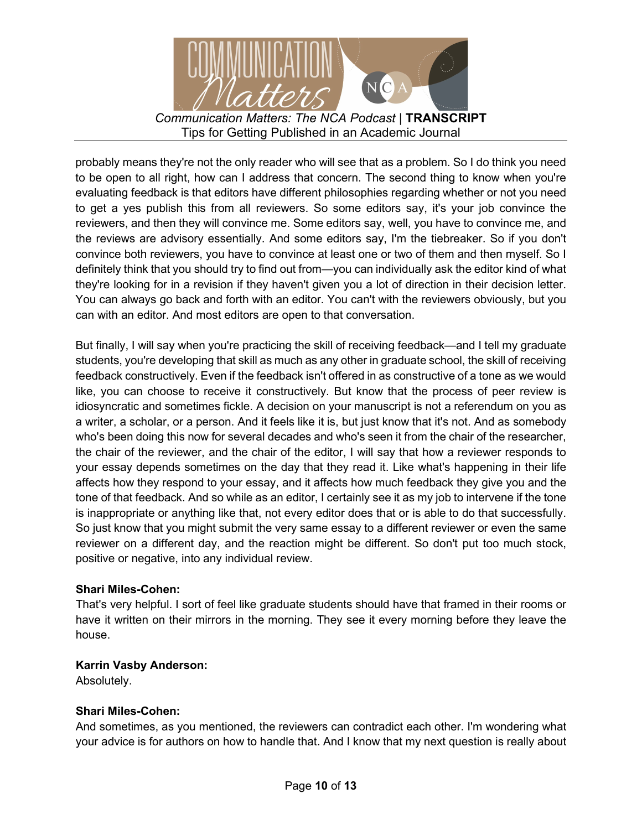

probably means they're not the only reader who will see that as a problem. So I do think you need to be open to all right, how can I address that concern. The second thing to know when you're evaluating feedback is that editors have different philosophies regarding whether or not you need to get a yes publish this from all reviewers. So some editors say, it's your job convince the reviewers, and then they will convince me. Some editors say, well, you have to convince me, and the reviews are advisory essentially. And some editors say, I'm the tiebreaker. So if you don't convince both reviewers, you have to convince at least one or two of them and then myself. So I definitely think that you should try to find out from—you can individually ask the editor kind of what they're looking for in a revision if they haven't given you a lot of direction in their decision letter. You can always go back and forth with an editor. You can't with the reviewers obviously, but you can with an editor. And most editors are open to that conversation.

But finally, I will say when you're practicing the skill of receiving feedback—and I tell my graduate students, you're developing that skill as much as any other in graduate school, the skill of receiving feedback constructively. Even if the feedback isn't offered in as constructive of a tone as we would like, you can choose to receive it constructively. But know that the process of peer review is idiosyncratic and sometimes fickle. A decision on your manuscript is not a referendum on you as a writer, a scholar, or a person. And it feels like it is, but just know that it's not. And as somebody who's been doing this now for several decades and who's seen it from the chair of the researcher, the chair of the reviewer, and the chair of the editor, I will say that how a reviewer responds to your essay depends sometimes on the day that they read it. Like what's happening in their life affects how they respond to your essay, and it affects how much feedback they give you and the tone of that feedback. And so while as an editor, I certainly see it as my job to intervene if the tone is inappropriate or anything like that, not every editor does that or is able to do that successfully. So just know that you might submit the very same essay to a different reviewer or even the same reviewer on a different day, and the reaction might be different. So don't put too much stock, positive or negative, into any individual review.

### **Shari Miles-Cohen:**

That's very helpful. I sort of feel like graduate students should have that framed in their rooms or have it written on their mirrors in the morning. They see it every morning before they leave the house.

### **Karrin Vasby Anderson:**

Absolutely.

### **Shari Miles-Cohen:**

And sometimes, as you mentioned, the reviewers can contradict each other. I'm wondering what your advice is for authors on how to handle that. And I know that my next question is really about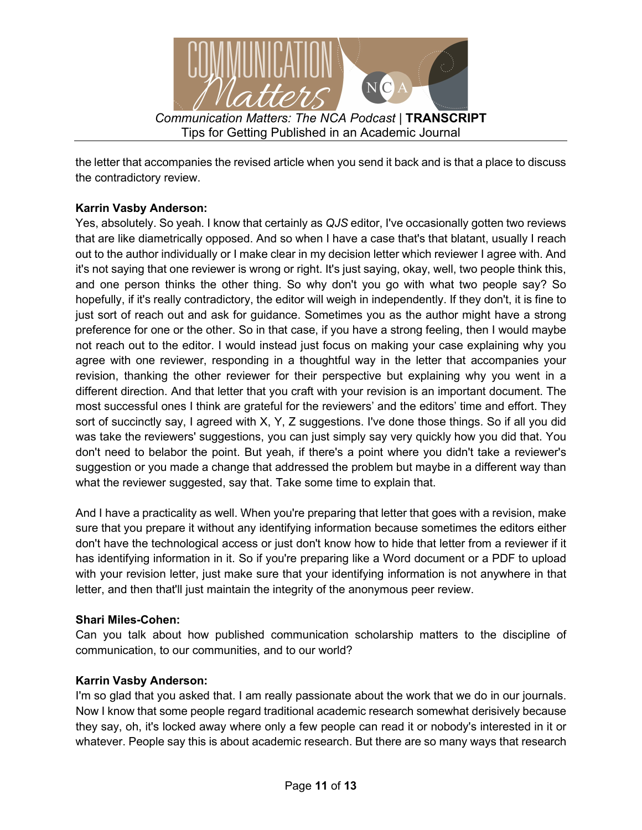

the letter that accompanies the revised article when you send it back and is that a place to discuss the contradictory review.

# **Karrin Vasby Anderson:**

Yes, absolutely. So yeah. I know that certainly as *QJS* editor, I've occasionally gotten two reviews that are like diametrically opposed. And so when I have a case that's that blatant, usually I reach out to the author individually or I make clear in my decision letter which reviewer I agree with. And it's not saying that one reviewer is wrong or right. It's just saying, okay, well, two people think this, and one person thinks the other thing. So why don't you go with what two people say? So hopefully, if it's really contradictory, the editor will weigh in independently. If they don't, it is fine to just sort of reach out and ask for guidance. Sometimes you as the author might have a strong preference for one or the other. So in that case, if you have a strong feeling, then I would maybe not reach out to the editor. I would instead just focus on making your case explaining why you agree with one reviewer, responding in a thoughtful way in the letter that accompanies your revision, thanking the other reviewer for their perspective but explaining why you went in a different direction. And that letter that you craft with your revision is an important document. The most successful ones I think are grateful for the reviewers' and the editors' time and effort. They sort of succinctly say, I agreed with X, Y, Z suggestions. I've done those things. So if all you did was take the reviewers' suggestions, you can just simply say very quickly how you did that. You don't need to belabor the point. But yeah, if there's a point where you didn't take a reviewer's suggestion or you made a change that addressed the problem but maybe in a different way than what the reviewer suggested, say that. Take some time to explain that.

And I have a practicality as well. When you're preparing that letter that goes with a revision, make sure that you prepare it without any identifying information because sometimes the editors either don't have the technological access or just don't know how to hide that letter from a reviewer if it has identifying information in it. So if you're preparing like a Word document or a PDF to upload with your revision letter, just make sure that your identifying information is not anywhere in that letter, and then that'll just maintain the integrity of the anonymous peer review.

### **Shari Miles-Cohen:**

Can you talk about how published communication scholarship matters to the discipline of communication, to our communities, and to our world?

### **Karrin Vasby Anderson:**

I'm so glad that you asked that. I am really passionate about the work that we do in our journals. Now I know that some people regard traditional academic research somewhat derisively because they say, oh, it's locked away where only a few people can read it or nobody's interested in it or whatever. People say this is about academic research. But there are so many ways that research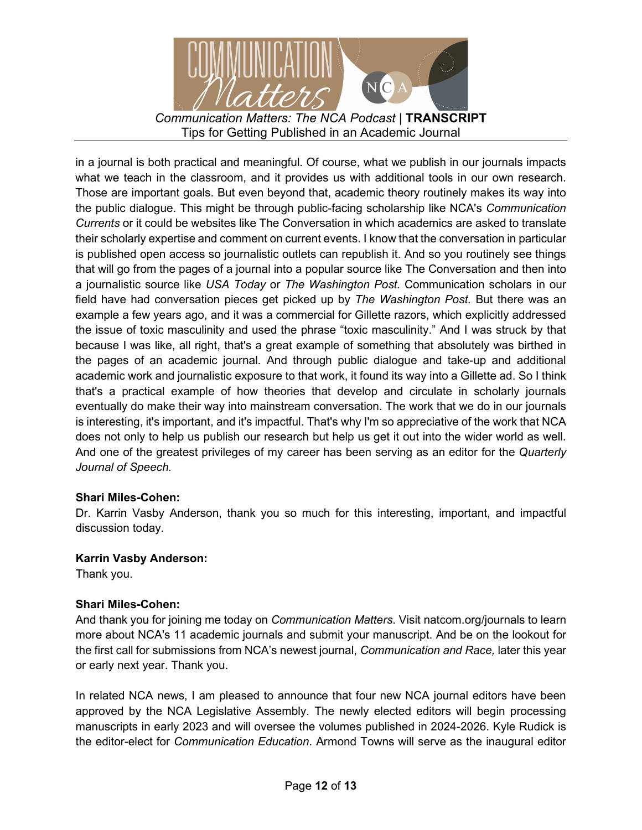

in a journal is both practical and meaningful. Of course, what we publish in our journals impacts what we teach in the classroom, and it provides us with additional tools in our own research. Those are important goals. But even beyond that, academic theory routinely makes its way into the public dialogue. This might be through public-facing scholarship like NCA's *Communication Currents* or it could be websites like The Conversation in which academics are asked to translate their scholarly expertise and comment on current events. I know that the conversation in particular is published open access so journalistic outlets can republish it. And so you routinely see things that will go from the pages of a journal into a popular source like The Conversation and then into a journalistic source like *USA Today* or *The Washington Post.* Communication scholars in our field have had conversation pieces get picked up by *The Washington Post.* But there was an example a few years ago, and it was a commercial for Gillette razors, which explicitly addressed the issue of toxic masculinity and used the phrase "toxic masculinity." And I was struck by that because I was like, all right, that's a great example of something that absolutely was birthed in the pages of an academic journal. And through public dialogue and take-up and additional academic work and journalistic exposure to that work, it found its way into a Gillette ad. So I think that's a practical example of how theories that develop and circulate in scholarly journals eventually do make their way into mainstream conversation. The work that we do in our journals is interesting, it's important, and it's impactful. That's why I'm so appreciative of the work that NCA does not only to help us publish our research but help us get it out into the wider world as well. And one of the greatest privileges of my career has been serving as an editor for the *Quarterly Journal of Speech.*

# **Shari Miles-Cohen:**

Dr. Karrin Vasby Anderson, thank you so much for this interesting, important, and impactful discussion today.

### **Karrin Vasby Anderson:**

Thank you.

### **Shari Miles-Cohen:**

And thank you for joining me today on *Communication Matters*. Visit natcom.org/journals to learn more about NCA's 11 academic journals and submit your manuscript. And be on the lookout for the first call for submissions from NCA's newest journal, *Communication and Race,* later this year or early next year. Thank you.

In related NCA news, I am pleased to announce that four new NCA journal editors have been approved by the NCA Legislative Assembly. The newly elected editors will begin processing manuscripts in early 2023 and will oversee the volumes published in 2024-2026. Kyle Rudick is the editor-elect for *Communication Education*. Armond Towns will serve as the inaugural editor